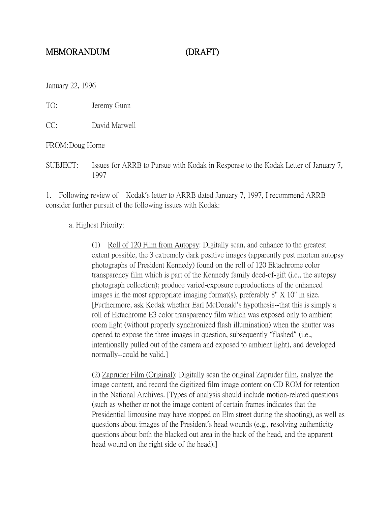## MEMORANDUM (DRAFT)

January 22, 1996

TO: Jeremy Gunn

CC: David Marwell

FROM:Doug Horne

SUBJECT: Issues for ARRB to Pursue with Kodak in Response to the Kodak Letter of January 7, 1997

1. Following review of Kodak's letter to ARRB dated January 7, 1997, I recommend ARRB consider further pursuit of the following issues with Kodak:

a. Highest Priority:

(1) Roll of 120 Film from Autopsy: Digitally scan, and enhance to the greatest extent possible, the 3 extremely dark positive images (apparently post mortem autopsy photographs of President Kennedy) found on the roll of 120 Ektachrome color transparency film which is part of the Kennedy family deed-of-gift (i.e., the autopsy photograph collection); produce varied-exposure reproductions of the enhanced images in the most appropriate imaging format(s), preferably 8" X 10" in size. [Furthermore, ask Kodak whether Earl McDonald's hypothesis--that this is simply a roll of Ektachrome E3 color transparency film which was exposed only to ambient room light (without properly synchronized flash illumination) when the shutter was opened to expose the three images in question, subsequently "flashed" (i.e., intentionally pulled out of the camera and exposed to ambient light), and developed normally--could be valid.]

(2) Zapruder Film (Original): Digitally scan the original Zapruder film, analyze the image content, and record the digitized film image content on CD ROM for retention in the National Archives. [Types of analysis should include motion-related questions (such as whether or not the image content of certain frames indicates that the Presidential limousine may have stopped on Elm street during the shooting), as well as questions about images of the President's head wounds (e.g., resolving authenticity questions about both the blacked out area in the back of the head, and the apparent head wound on the right side of the head).]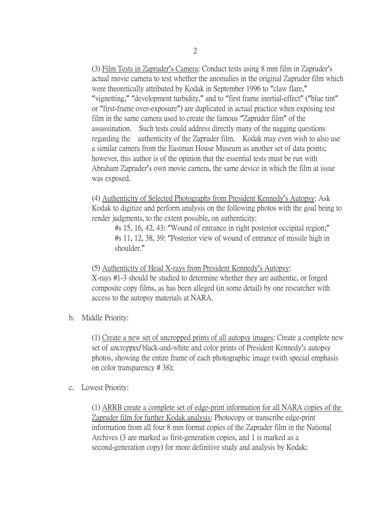(3) Film Tests in Zapruder's Camera: Conduct tests using 8 mm film in Zapruder's actual movie camera to test whether the anomalies in the original Zapruder film which were theoretically attributed by Kodak in September 1996 to "claw flare," "vignetting," "development turbidity," and to "first frame inertial-effect" ("blue tint" or "first-frame over-exposure") are duplicated in actual practice when exposing test film in the same camera used to create the famous "Zapruder film" of the assassination. Such tests could address directly many of the nagging questions regarding the authenticity of the Zapruder film. Kodak may even wish to also use a similar camera from the Eastman House Museum as another set of data points; however, this author is of the opinion that the essential tests must be run with Abraham Zapruder's own movie camera, the same device in which the film at issue was exposed.

(4) Authenticity of Selected Photographs from President Kennedy's Autopsy: Ask Kodak to digitize and perform analysis on the following photos with the goal being to render judgments, to the extent possible, on authenticity:

#s 15, 16, 42, 43: "Wound of entrance in right posterior occipital region;" #s 11, 12, 38, 39: "Posterior view of wound of entrance of missile high in shoulder."

(5) Authenticity of Head X-rays from President Kennedy's Autopsy: X-rays #1-3 should be studied to determine whether they are authentic, or forged composite copy films, as has been alleged (in some detail) by one researcher with access to the autopsy materials at NARA.

b. Middle Priority:

(1) Create a new set of uncropped prints of all autopsy images: Create a complete new set of *uncropped* black-and-white and color prints of President Kennedy's autopsy photos, showing the entire frame of each photographic image (with special emphasis on color transparency # 38);

c. Lowest Priority:

(1) ARRB create a complete set of edge-print information for all NARA copies of the Zapruder film for further Kodak analysis: Photocopy or transcribe edge-print information from all four 8 mm format copies of the Zapruder film in the National Archives (3 are marked as first-generation copies, and 1 is marked as a second-generation copy) for more definitive study and analysis by Kodak;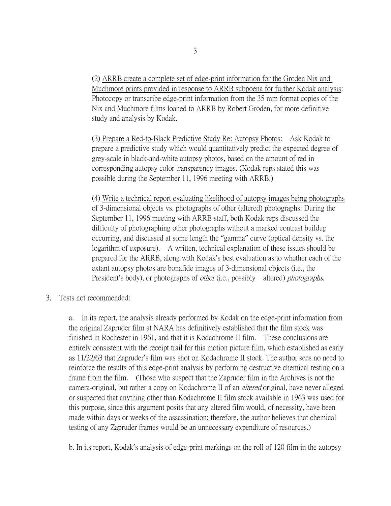(2) ARRB create a complete set of edge-print information for the Groden Nix and Muchmore prints provided in response to ARRB subpoena for further Kodak analysis: Photocopy or transcribe edge-print information from the 35 mm format copies of the Nix and Muchmore films loaned to ARRB by Robert Groden, for more definitive study and analysis by Kodak.

(3) Prepare a Red-to-Black Predictive Study Re: Autopsy Photos: Ask Kodak to prepare a predictive study which would quantitatively predict the expected degree of grey-scale in black-and-white autopsy photos, based on the amount of red in corresponding autopsy color transparency images. (Kodak reps stated this was possible during the September 11, 1996 meeting with ARRB.)

(4) Write a technical report evaluating likelihood of autopsy images being photographs of 3-dimensional objects vs. photographs of other (altered) photographs: During the September 11, 1996 meeting with ARRB staff, both Kodak reps discussed the difficulty of photographing other photographs without a marked contrast buildup occurring, and discussed at some length the "gamma" curve (optical density vs. the logarithm of exposure). A written, technical explanation of these issues should be prepared for the ARRB, along with Kodak's best evaluation as to whether each of the extant autopsy photos are bonafide images of 3-dimensional objects (i.e., the President's body), or photographs of *other* (i.e., possibly altered) *photographs*.

## 3. Tests not recommended:

a. In its report, the analysis already performed by Kodak on the edge-print information from the original Zapruder film at NARA has definitively established that the film stock was finished in Rochester in 1961, and that it is Kodachrome II film. These conclusions are entirely consistent with the receipt trail for this motion picture film, which established as early as 11/22/63 that Zapruder's film was shot on Kodachrome II stock. The author sees no need to reinforce the results of this edge-print analysis by performing destructive chemical testing on a frame from the film. (Those who suspect that the Zapruder film in the Archives is not the camera-original, but rather a copy on Kodachrome II of an *altered* original, have never alleged or suspected that anything other than Kodachrome II film stock available in 1963 was used for this purpose, since this argument posits that any altered film would, of necessity, have been made within days or weeks of the assassination; therefore, the author believes that chemical testing of any Zapruder frames would be an unnecessary expenditure of resources.)

b. In its report, Kodak's analysis of edge-print markings on the roll of 120 film in the autopsy